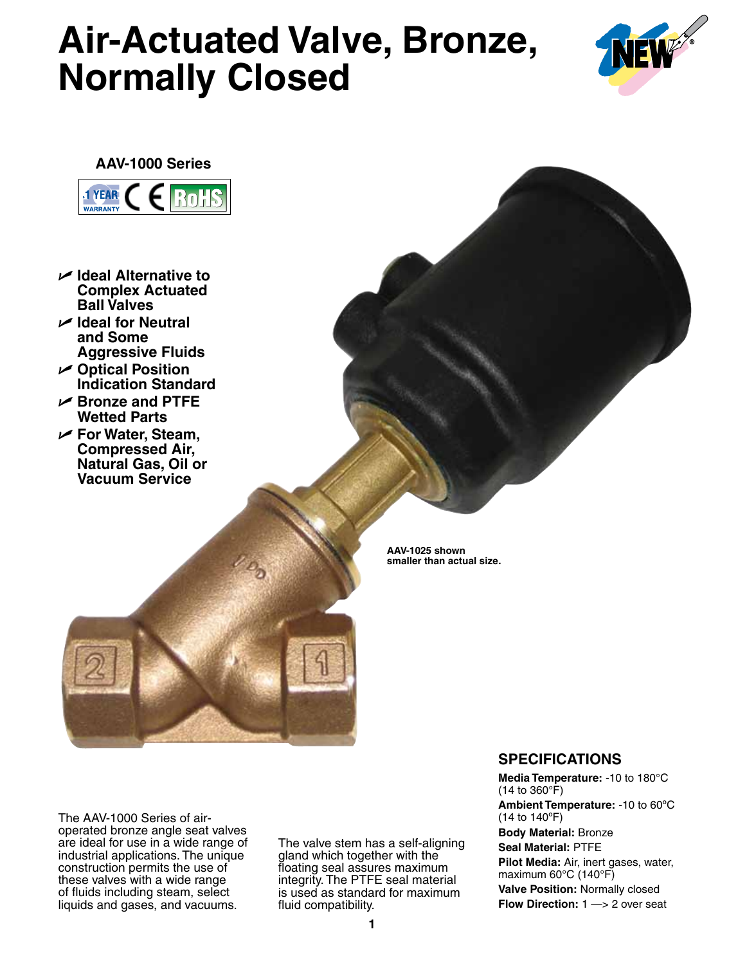## **Air-Actuated Valve, Bronze, Normally Closed**





- U **Ideal Alternative to Complex Actuated Ball Valves**
- U **Ideal for Neutral and Some Aggressive Fluids**
- U **Optical Position Indication Standard**
- U **Bronze and PTFE Wetted Parts**
- U **For Water, Steam, Compressed Air, Natural Gas, Oil or Vacuum Service**

**AAV-1025 shown smaller than actual size.**

The AAV-1000 Series of airoperated bronze angle seat valves are ideal for use in a wide range of industrial applications. The unique construction permits the use of these valves with a wide range of fluids including steam, select liquids and gases, and vacuums.

The valve stem has a self-aligning gland which together with the floating seal assures maximum integrity. The PTFE seal material is used as standard for maximum fluid compatibility.

## **SPECIFICATIONS**

**Media Temperature:** -10 to 180°C (14 to 360°F) **Ambient Temperature:** -10 to 60ºC (14 to 140ºF) **Body Material:** Bronze **Seal Material:** PTFE **Pilot Media:** Air, inert gases, water, maximum 60°C (140°F) **Valve Position:** Normally closed **Flow Direction:** 1 —> 2 over seat